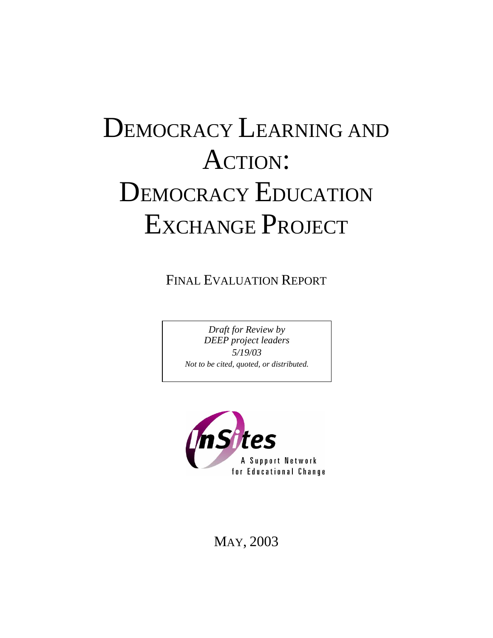# DEMOCRACY LEARNING AND ACTION: DEMOCRACY EDUCATION EXCHANGE PROJECT

FINAL EVALUATION REPORT

*Draft for Review by DEEP project leaders 5/19/03 Not to be cited, quoted, or distributed.* 



MAY, 2003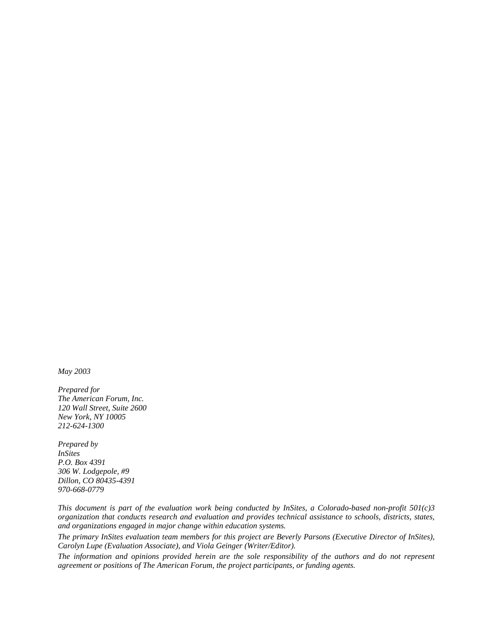*May 2003* 

*Prepared for The American Forum, Inc. 120 Wall Street, Suite 2600 New York, NY 10005 212-624-1300* 

*Prepared by InSites P.O. Box 4391 306 W. Lodgepole, #9 Dillon, CO 80435-4391 970-668-0779* 

*This document is part of the evaluation work being conducted by InSites, a Colorado-based non-profit 501(c)3 organization that conducts research and evaluation and provides technical assistance to schools, districts, states, and organizations engaged in major change within education systems.* 

*The primary InSites evaluation team members for this project are Beverly Parsons (Executive Director of InSites), Carolyn Lupe (Evaluation Associate), and Viola Geinger (Writer/Editor).* 

*The information and opinions provided herein are the sole responsibility of the authors and do not represent agreement or positions of The American Forum, the project participants, or funding agents.*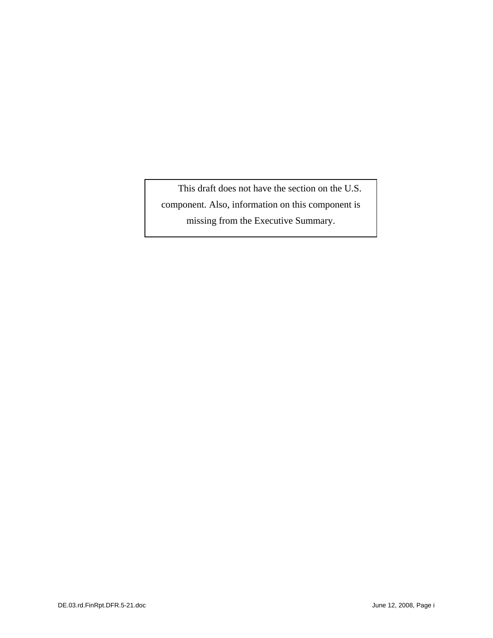This draft does not have the section on the U.S. component. Also, information on this component is missing from the Executive Summary.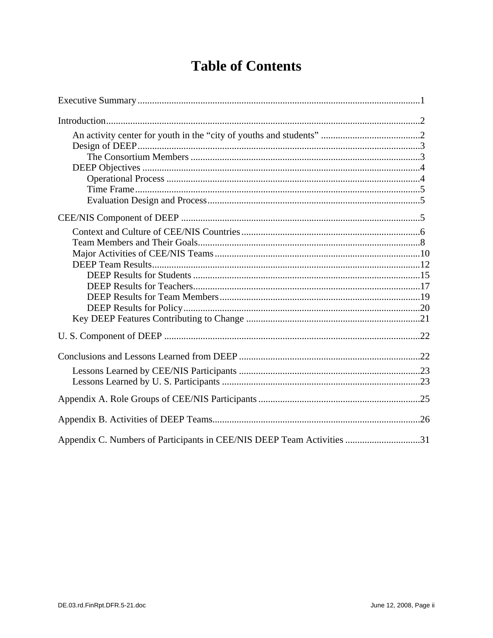# **Table of Contents**

| Appendix C. Numbers of Participants in CEE/NIS DEEP Team Activities 31 |  |
|------------------------------------------------------------------------|--|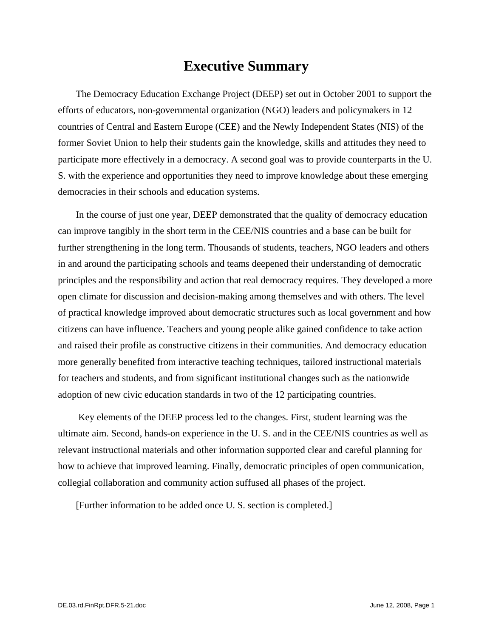### **Executive Summary**

The Democracy Education Exchange Project (DEEP) set out in October 2001 to support the efforts of educators, non-governmental organization (NGO) leaders and policymakers in 12 countries of Central and Eastern Europe (CEE) and the Newly Independent States (NIS) of the former Soviet Union to help their students gain the knowledge, skills and attitudes they need to participate more effectively in a democracy. A second goal was to provide counterparts in the U. S. with the experience and opportunities they need to improve knowledge about these emerging democracies in their schools and education systems.

In the course of just one year, DEEP demonstrated that the quality of democracy education can improve tangibly in the short term in the CEE/NIS countries and a base can be built for further strengthening in the long term. Thousands of students, teachers, NGO leaders and others in and around the participating schools and teams deepened their understanding of democratic principles and the responsibility and action that real democracy requires. They developed a more open climate for discussion and decision-making among themselves and with others. The level of practical knowledge improved about democratic structures such as local government and how citizens can have influence. Teachers and young people alike gained confidence to take action and raised their profile as constructive citizens in their communities. And democracy education more generally benefited from interactive teaching techniques, tailored instructional materials for teachers and students, and from significant institutional changes such as the nationwide adoption of new civic education standards in two of the 12 participating countries.

 Key elements of the DEEP process led to the changes. First, student learning was the ultimate aim. Second, hands-on experience in the U. S. and in the CEE/NIS countries as well as relevant instructional materials and other information supported clear and careful planning for how to achieve that improved learning. Finally, democratic principles of open communication, collegial collaboration and community action suffused all phases of the project.

[Further information to be added once U. S. section is completed.]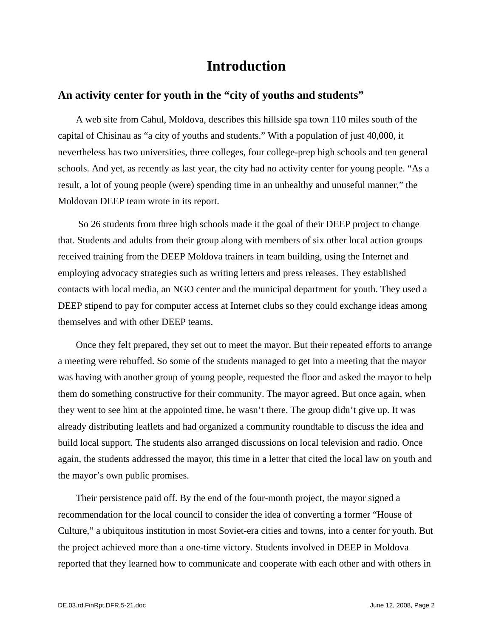### **Introduction**

#### **An activity center for youth in the "city of youths and students"**

A web site from Cahul, Moldova, describes this hillside spa town 110 miles south of the capital of Chisinau as "a city of youths and students." With a population of just 40,000, it nevertheless has two universities, three colleges, four college-prep high schools and ten general schools. And yet, as recently as last year, the city had no activity center for young people. "As a result, a lot of young people (were) spending time in an unhealthy and unuseful manner," the Moldovan DEEP team wrote in its report.

 So 26 students from three high schools made it the goal of their DEEP project to change that. Students and adults from their group along with members of six other local action groups received training from the DEEP Moldova trainers in team building, using the Internet and employing advocacy strategies such as writing letters and press releases. They established contacts with local media, an NGO center and the municipal department for youth. They used a DEEP stipend to pay for computer access at Internet clubs so they could exchange ideas among themselves and with other DEEP teams.

Once they felt prepared, they set out to meet the mayor. But their repeated efforts to arrange a meeting were rebuffed. So some of the students managed to get into a meeting that the mayor was having with another group of young people, requested the floor and asked the mayor to help them do something constructive for their community. The mayor agreed. But once again, when they went to see him at the appointed time, he wasn't there. The group didn't give up. It was already distributing leaflets and had organized a community roundtable to discuss the idea and build local support. The students also arranged discussions on local television and radio. Once again, the students addressed the mayor, this time in a letter that cited the local law on youth and the mayor's own public promises.

Their persistence paid off. By the end of the four-month project, the mayor signed a recommendation for the local council to consider the idea of converting a former "House of Culture," a ubiquitous institution in most Soviet-era cities and towns, into a center for youth. But the project achieved more than a one-time victory. Students involved in DEEP in Moldova reported that they learned how to communicate and cooperate with each other and with others in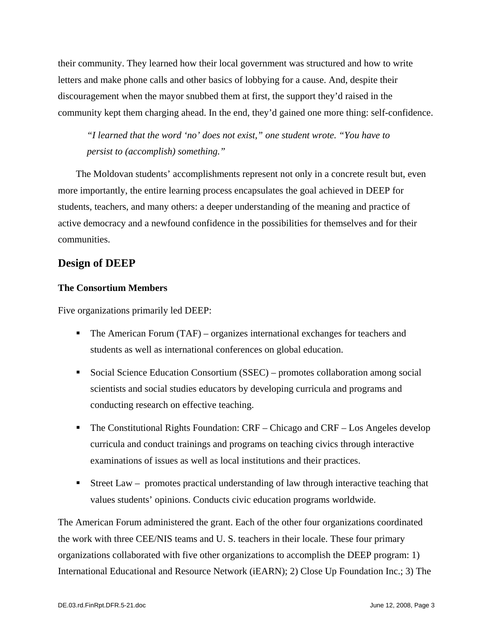their community. They learned how their local government was structured and how to write letters and make phone calls and other basics of lobbying for a cause. And, despite their discouragement when the mayor snubbed them at first, the support they'd raised in the community kept them charging ahead. In the end, they'd gained one more thing: self-confidence.

*"I learned that the word 'no' does not exist," one student wrote. "You have to persist to (accomplish) something."* 

The Moldovan students' accomplishments represent not only in a concrete result but, even more importantly, the entire learning process encapsulates the goal achieved in DEEP for students, teachers, and many others: a deeper understanding of the meaning and practice of active democracy and a newfound confidence in the possibilities for themselves and for their communities.

#### **Design of DEEP**

#### **The Consortium Members**

Five organizations primarily led DEEP:

- The American Forum (TAF) organizes international exchanges for teachers and students as well as international conferences on global education.
- Social Science Education Consortium (SSEC) promotes collaboration among social scientists and social studies educators by developing curricula and programs and conducting research on effective teaching.
- The Constitutional Rights Foundation:  $CRF Chicago$  and  $CRF Los$  Angeles develop curricula and conduct trainings and programs on teaching civics through interactive examinations of issues as well as local institutions and their practices.
- Street Law promotes practical understanding of law through interactive teaching that values students' opinions. Conducts civic education programs worldwide.

The American Forum administered the grant. Each of the other four organizations coordinated the work with three CEE/NIS teams and U. S. teachers in their locale. These four primary organizations collaborated with five other organizations to accomplish the DEEP program: 1) International Educational and Resource Network (iEARN); 2) Close Up Foundation Inc.; 3) The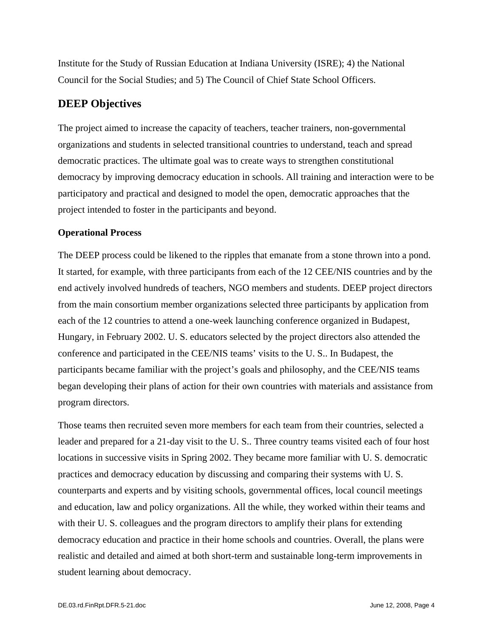Institute for the Study of Russian Education at Indiana University (ISRE); 4) the National Council for the Social Studies; and 5) The Council of Chief State School Officers.

#### **DEEP Objectives**

The project aimed to increase the capacity of teachers, teacher trainers, non-governmental organizations and students in selected transitional countries to understand, teach and spread democratic practices. The ultimate goal was to create ways to strengthen constitutional democracy by improving democracy education in schools. All training and interaction were to be participatory and practical and designed to model the open, democratic approaches that the project intended to foster in the participants and beyond.

#### **Operational Process**

The DEEP process could be likened to the ripples that emanate from a stone thrown into a pond. It started, for example, with three participants from each of the 12 CEE/NIS countries and by the end actively involved hundreds of teachers, NGO members and students. DEEP project directors from the main consortium member organizations selected three participants by application from each of the 12 countries to attend a one-week launching conference organized in Budapest, Hungary, in February 2002. U. S. educators selected by the project directors also attended the conference and participated in the CEE/NIS teams' visits to the U. S.. In Budapest, the participants became familiar with the project's goals and philosophy, and the CEE/NIS teams began developing their plans of action for their own countries with materials and assistance from program directors.

Those teams then recruited seven more members for each team from their countries, selected a leader and prepared for a 21-day visit to the U. S.. Three country teams visited each of four host locations in successive visits in Spring 2002. They became more familiar with U. S. democratic practices and democracy education by discussing and comparing their systems with U. S. counterparts and experts and by visiting schools, governmental offices, local council meetings and education, law and policy organizations. All the while, they worked within their teams and with their U. S. colleagues and the program directors to amplify their plans for extending democracy education and practice in their home schools and countries. Overall, the plans were realistic and detailed and aimed at both short-term and sustainable long-term improvements in student learning about democracy.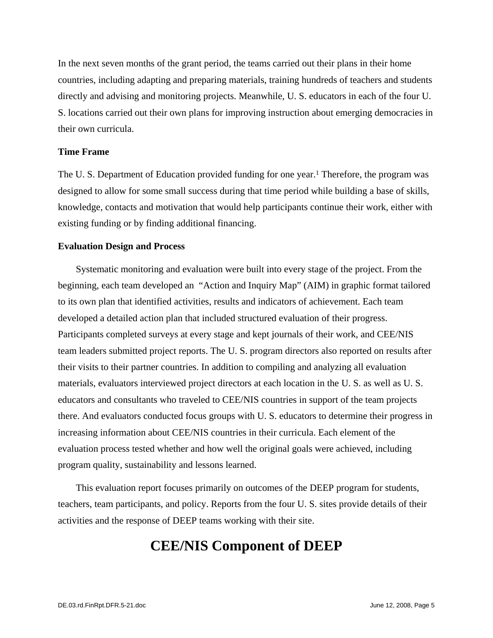In the next seven months of the grant period, the teams carried out their plans in their home countries, including adapting and preparing materials, training hundreds of teachers and students directly and advising and monitoring projects. Meanwhile, U. S. educators in each of the four U. S. locations carried out their own plans for improving instruction about emerging democracies in their own curricula.

#### **Time Frame**

The U. S. Department of Education provided funding for one year.<sup>1</sup> Therefore, the program was designed to allow for some small success during that time period while building a base of skills, knowledge, contacts and motivation that would help participants continue their work, either with existing funding or by finding additional financing.

#### **Evaluation Design and Process**

Systematic monitoring and evaluation were built into every stage of the project. From the beginning, each team developed an "Action and Inquiry Map" (AIM) in graphic format tailored to its own plan that identified activities, results and indicators of achievement. Each team developed a detailed action plan that included structured evaluation of their progress. Participants completed surveys at every stage and kept journals of their work, and CEE/NIS team leaders submitted project reports. The U. S. program directors also reported on results after their visits to their partner countries. In addition to compiling and analyzing all evaluation materials, evaluators interviewed project directors at each location in the U. S. as well as U. S. educators and consultants who traveled to CEE/NIS countries in support of the team projects there. And evaluators conducted focus groups with U. S. educators to determine their progress in increasing information about CEE/NIS countries in their curricula. Each element of the evaluation process tested whether and how well the original goals were achieved, including program quality, sustainability and lessons learned.

This evaluation report focuses primarily on outcomes of the DEEP program for students, teachers, team participants, and policy. Reports from the four U. S. sites provide details of their activities and the response of DEEP teams working with their site.

### **CEE/NIS Component of DEEP**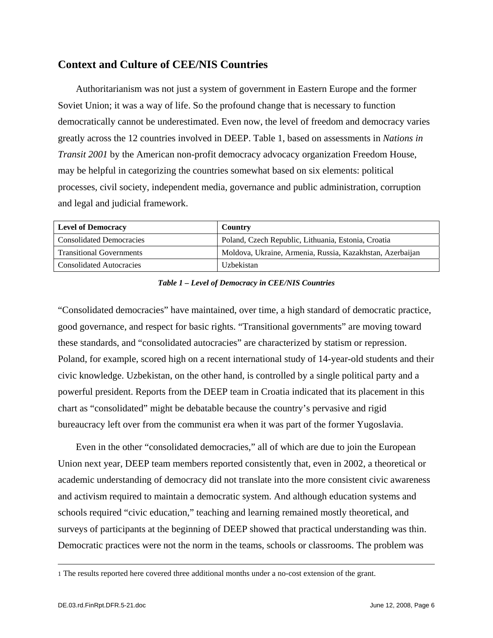#### **Context and Culture of CEE/NIS Countries**

Authoritarianism was not just a system of government in Eastern Europe and the former Soviet Union; it was a way of life. So the profound change that is necessary to function democratically cannot be underestimated. Even now, the level of freedom and democracy varies greatly across the 12 countries involved in DEEP. Table 1, based on assessments in *Nations in Transit 2001* by the American non-profit democracy advocacy organization Freedom House, may be helpful in categorizing the countries somewhat based on six elements: political processes, civil society, independent media, governance and public administration, corruption and legal and judicial framework.

| <b>Level of Democracy</b>       | Country                                                   |
|---------------------------------|-----------------------------------------------------------|
| <b>Consolidated Democracies</b> | Poland, Czech Republic, Lithuania, Estonia, Croatia       |
| <b>Transitional Governments</b> | Moldova, Ukraine, Armenia, Russia, Kazakhstan, Azerbaijan |
| Consolidated Autocracies        | Uzbekistan                                                |

*Table 1 – Level of Democracy in CEE/NIS Countries* 

"Consolidated democracies" have maintained, over time, a high standard of democratic practice, good governance, and respect for basic rights. "Transitional governments" are moving toward these standards, and "consolidated autocracies" are characterized by statism or repression. Poland, for example, scored high on a recent international study of 14-year-old students and their civic knowledge. Uzbekistan, on the other hand, is controlled by a single political party and a powerful president. Reports from the DEEP team in Croatia indicated that its placement in this chart as "consolidated" might be debatable because the country's pervasive and rigid bureaucracy left over from the communist era when it was part of the former Yugoslavia.

Even in the other "consolidated democracies," all of which are due to join the European Union next year, DEEP team members reported consistently that, even in 2002, a theoretical or academic understanding of democracy did not translate into the more consistent civic awareness and activism required to maintain a democratic system. And although education systems and schools required "civic education," teaching and learning remained mostly theoretical, and surveys of participants at the beginning of DEEP showed that practical understanding was thin. Democratic practices were not the norm in the teams, schools or classrooms. The problem was

 <sup>1</sup> The results reported here covered three additional months under a no-cost extension of the grant.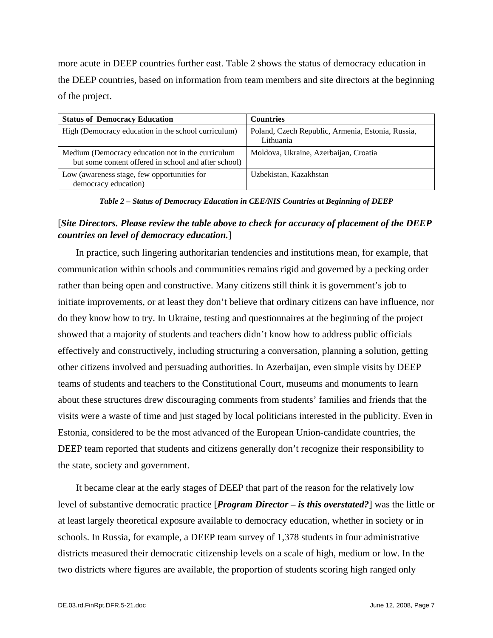more acute in DEEP countries further east. Table 2 shows the status of democracy education in the DEEP countries, based on information from team members and site directors at the beginning of the project.

| <b>Status of Democracy Education</b>                                                                      | <b>Countries</b>                                               |
|-----------------------------------------------------------------------------------------------------------|----------------------------------------------------------------|
| High (Democracy education in the school curriculum)                                                       | Poland, Czech Republic, Armenia, Estonia, Russia,<br>Lithuania |
| Medium (Democracy education not in the curriculum<br>but some content offered in school and after school) | Moldova, Ukraine, Azerbaijan, Croatia                          |
| Low (awareness stage, few opportunities for<br>democracy education)                                       | Uzbekistan, Kazakhstan                                         |

*Table 2 – Status of Democracy Education in CEE/NIS Countries at Beginning of DEEP* 

#### [*Site Directors. Please review the table above to check for accuracy of placement of the DEEP countries on level of democracy education.*]

In practice, such lingering authoritarian tendencies and institutions mean, for example, that communication within schools and communities remains rigid and governed by a pecking order rather than being open and constructive. Many citizens still think it is government's job to initiate improvements, or at least they don't believe that ordinary citizens can have influence, nor do they know how to try. In Ukraine, testing and questionnaires at the beginning of the project showed that a majority of students and teachers didn't know how to address public officials effectively and constructively, including structuring a conversation, planning a solution, getting other citizens involved and persuading authorities. In Azerbaijan, even simple visits by DEEP teams of students and teachers to the Constitutional Court, museums and monuments to learn about these structures drew discouraging comments from students' families and friends that the visits were a waste of time and just staged by local politicians interested in the publicity. Even in Estonia, considered to be the most advanced of the European Union-candidate countries, the DEEP team reported that students and citizens generally don't recognize their responsibility to the state, society and government.

It became clear at the early stages of DEEP that part of the reason for the relatively low level of substantive democratic practice [*Program Director – is this overstated?*] was the little or at least largely theoretical exposure available to democracy education, whether in society or in schools. In Russia, for example, a DEEP team survey of 1,378 students in four administrative districts measured their democratic citizenship levels on a scale of high, medium or low. In the two districts where figures are available, the proportion of students scoring high ranged only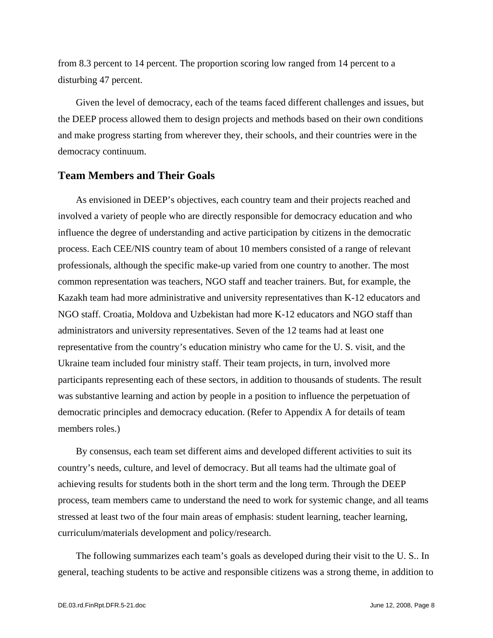from 8.3 percent to 14 percent. The proportion scoring low ranged from 14 percent to a disturbing 47 percent.

Given the level of democracy, each of the teams faced different challenges and issues, but the DEEP process allowed them to design projects and methods based on their own conditions and make progress starting from wherever they, their schools, and their countries were in the democracy continuum.

#### **Team Members and Their Goals**

As envisioned in DEEP's objectives, each country team and their projects reached and involved a variety of people who are directly responsible for democracy education and who influence the degree of understanding and active participation by citizens in the democratic process. Each CEE/NIS country team of about 10 members consisted of a range of relevant professionals, although the specific make-up varied from one country to another. The most common representation was teachers, NGO staff and teacher trainers. But, for example, the Kazakh team had more administrative and university representatives than K-12 educators and NGO staff. Croatia, Moldova and Uzbekistan had more K-12 educators and NGO staff than administrators and university representatives. Seven of the 12 teams had at least one representative from the country's education ministry who came for the U. S. visit, and the Ukraine team included four ministry staff. Their team projects, in turn, involved more participants representing each of these sectors, in addition to thousands of students. The result was substantive learning and action by people in a position to influence the perpetuation of democratic principles and democracy education. (Refer to Appendix A for details of team members roles.)

By consensus, each team set different aims and developed different activities to suit its country's needs, culture, and level of democracy. But all teams had the ultimate goal of achieving results for students both in the short term and the long term. Through the DEEP process, team members came to understand the need to work for systemic change, and all teams stressed at least two of the four main areas of emphasis: student learning, teacher learning, curriculum/materials development and policy/research.

The following summarizes each team's goals as developed during their visit to the U. S.. In general, teaching students to be active and responsible citizens was a strong theme, in addition to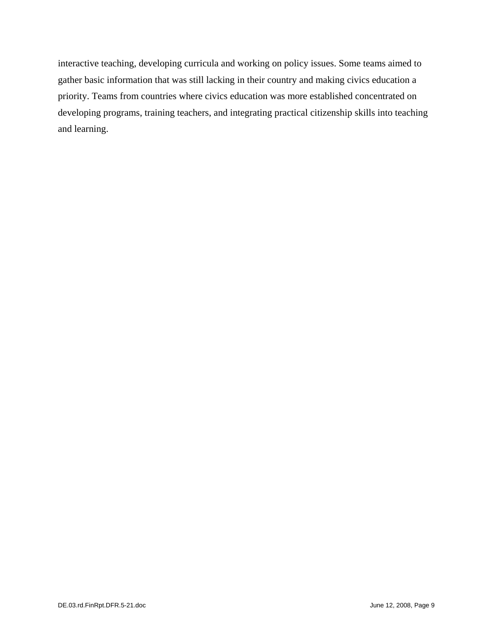interactive teaching, developing curricula and working on policy issues. Some teams aimed to gather basic information that was still lacking in their country and making civics education a priority. Teams from countries where civics education was more established concentrated on developing programs, training teachers, and integrating practical citizenship skills into teaching and learning.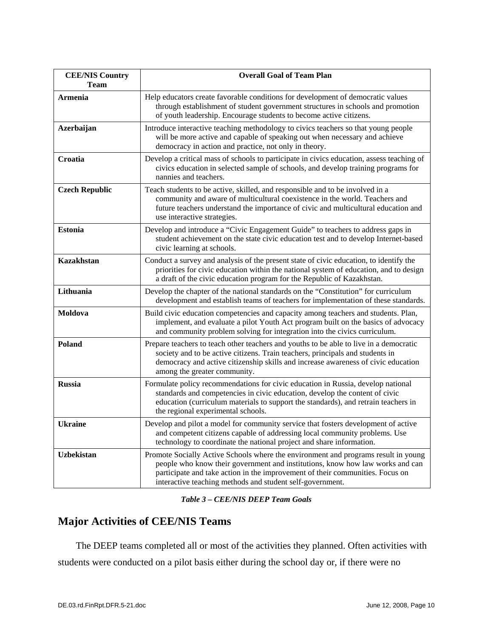| <b>CEE/NIS Country</b><br>Team | <b>Overall Goal of Team Plan</b>                                                                                                                                                                                                                                                                                  |
|--------------------------------|-------------------------------------------------------------------------------------------------------------------------------------------------------------------------------------------------------------------------------------------------------------------------------------------------------------------|
| <b>Armenia</b>                 | Help educators create favorable conditions for development of democratic values<br>through establishment of student government structures in schools and promotion<br>of youth leadership. Encourage students to become active citizens.                                                                          |
| Azerbaijan                     | Introduce interactive teaching methodology to civics teachers so that young people<br>will be more active and capable of speaking out when necessary and achieve<br>democracy in action and practice, not only in theory.                                                                                         |
| Croatia                        | Develop a critical mass of schools to participate in civics education, assess teaching of<br>civics education in selected sample of schools, and develop training programs for<br>nannies and teachers.                                                                                                           |
| <b>Czech Republic</b>          | Teach students to be active, skilled, and responsible and to be involved in a<br>community and aware of multicultural coexistence in the world. Teachers and<br>future teachers understand the importance of civic and multicultural education and<br>use interactive strategies.                                 |
| <b>Estonia</b>                 | Develop and introduce a "Civic Engagement Guide" to teachers to address gaps in<br>student achievement on the state civic education test and to develop Internet-based<br>civic learning at schools.                                                                                                              |
| <b>Kazakhstan</b>              | Conduct a survey and analysis of the present state of civic education, to identify the<br>priorities for civic education within the national system of education, and to design<br>a draft of the civic education program for the Republic of Kazakhstan.                                                         |
| Lithuania                      | Develop the chapter of the national standards on the "Constitution" for curriculum<br>development and establish teams of teachers for implementation of these standards.                                                                                                                                          |
| Moldova                        | Build civic education competencies and capacity among teachers and students. Plan,<br>implement, and evaluate a pilot Youth Act program built on the basics of advocacy<br>and community problem solving for integration into the civics curriculum.                                                              |
| <b>Poland</b>                  | Prepare teachers to teach other teachers and youths to be able to live in a democratic<br>society and to be active citizens. Train teachers, principals and students in<br>democracy and active citizenship skills and increase awareness of civic education<br>among the greater community.                      |
| <b>Russia</b>                  | Formulate policy recommendations for civic education in Russia, develop national<br>standards and competencies in civic education, develop the content of civic<br>education (curriculum materials to support the standards), and retrain teachers in<br>the regional experimental schools.                       |
| <b>Ukraine</b>                 | Develop and pilot a model for community service that fosters development of active<br>and competent citizens capable of addressing local community problems. Use<br>technology to coordinate the national project and share information.                                                                          |
| <b>Uzbekistan</b>              | Promote Socially Active Schools where the environment and programs result in young<br>people who know their government and institutions, know how law works and can<br>participate and take action in the improvement of their communities. Focus on<br>interactive teaching methods and student self-government. |

*Table 3 – CEE/NIS DEEP Team Goals* 

### **Major Activities of CEE/NIS Teams**

The DEEP teams completed all or most of the activities they planned. Often activities with students were conducted on a pilot basis either during the school day or, if there were no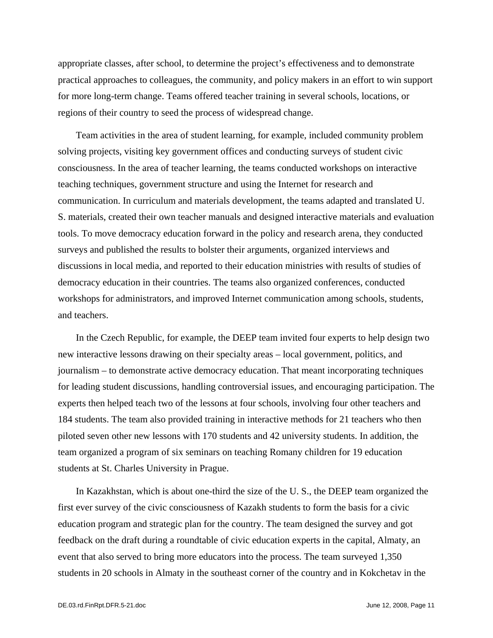appropriate classes, after school, to determine the project's effectiveness and to demonstrate practical approaches to colleagues, the community, and policy makers in an effort to win support for more long-term change. Teams offered teacher training in several schools, locations, or regions of their country to seed the process of widespread change.

Team activities in the area of student learning, for example, included community problem solving projects, visiting key government offices and conducting surveys of student civic consciousness. In the area of teacher learning, the teams conducted workshops on interactive teaching techniques, government structure and using the Internet for research and communication. In curriculum and materials development, the teams adapted and translated U. S. materials, created their own teacher manuals and designed interactive materials and evaluation tools. To move democracy education forward in the policy and research arena, they conducted surveys and published the results to bolster their arguments, organized interviews and discussions in local media, and reported to their education ministries with results of studies of democracy education in their countries. The teams also organized conferences, conducted workshops for administrators, and improved Internet communication among schools, students, and teachers.

In the Czech Republic, for example, the DEEP team invited four experts to help design two new interactive lessons drawing on their specialty areas – local government, politics, and journalism – to demonstrate active democracy education. That meant incorporating techniques for leading student discussions, handling controversial issues, and encouraging participation. The experts then helped teach two of the lessons at four schools, involving four other teachers and 184 students. The team also provided training in interactive methods for 21 teachers who then piloted seven other new lessons with 170 students and 42 university students. In addition, the team organized a program of six seminars on teaching Romany children for 19 education students at St. Charles University in Prague.

In Kazakhstan, which is about one-third the size of the U. S., the DEEP team organized the first ever survey of the civic consciousness of Kazakh students to form the basis for a civic education program and strategic plan for the country. The team designed the survey and got feedback on the draft during a roundtable of civic education experts in the capital, Almaty, an event that also served to bring more educators into the process. The team surveyed 1,350 students in 20 schools in Almaty in the southeast corner of the country and in Kokchetav in the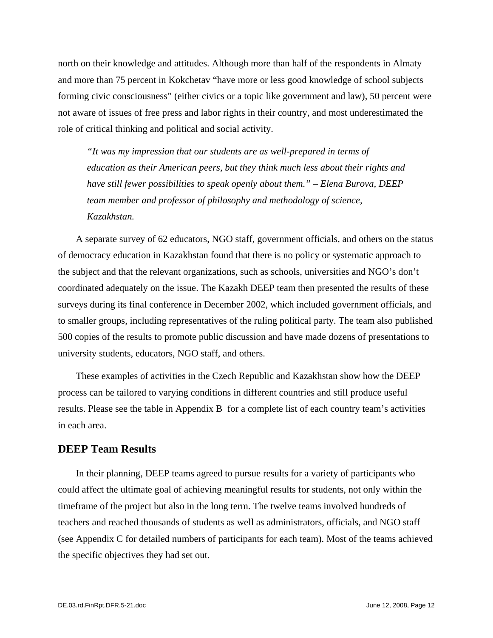north on their knowledge and attitudes. Although more than half of the respondents in Almaty and more than 75 percent in Kokchetav "have more or less good knowledge of school subjects forming civic consciousness" (either civics or a topic like government and law), 50 percent were not aware of issues of free press and labor rights in their country, and most underestimated the role of critical thinking and political and social activity.

*"It was my impression that our students are as well-prepared in terms of education as their American peers, but they think much less about their rights and have still fewer possibilities to speak openly about them." – Elena Burova, DEEP team member and professor of philosophy and methodology of science, Kazakhstan.* 

A separate survey of 62 educators, NGO staff, government officials, and others on the status of democracy education in Kazakhstan found that there is no policy or systematic approach to the subject and that the relevant organizations, such as schools, universities and NGO's don't coordinated adequately on the issue. The Kazakh DEEP team then presented the results of these surveys during its final conference in December 2002, which included government officials, and to smaller groups, including representatives of the ruling political party. The team also published 500 copies of the results to promote public discussion and have made dozens of presentations to university students, educators, NGO staff, and others.

These examples of activities in the Czech Republic and Kazakhstan show how the DEEP process can be tailored to varying conditions in different countries and still produce useful results. Please see the table in Appendix B for a complete list of each country team's activities in each area.

#### **DEEP Team Results**

In their planning, DEEP teams agreed to pursue results for a variety of participants who could affect the ultimate goal of achieving meaningful results for students, not only within the timeframe of the project but also in the long term. The twelve teams involved hundreds of teachers and reached thousands of students as well as administrators, officials, and NGO staff (see Appendix C for detailed numbers of participants for each team). Most of the teams achieved the specific objectives they had set out.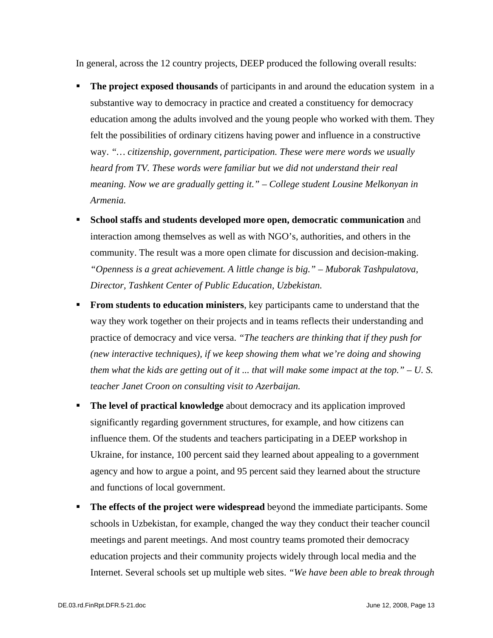In general, across the 12 country projects, DEEP produced the following overall results:

- **The project exposed thousands** of participants in and around the education system in a substantive way to democracy in practice and created a constituency for democracy education among the adults involved and the young people who worked with them. They felt the possibilities of ordinary citizens having power and influence in a constructive way. *"… citizenship, government, participation. These were mere words we usually heard from TV. These words were familiar but we did not understand their real meaning. Now we are gradually getting it." – College student Lousine Melkonyan in Armenia.*
- **School staffs and students developed more open, democratic communication** and interaction among themselves as well as with NGO's, authorities, and others in the community. The result was a more open climate for discussion and decision-making. *"Openness is a great achievement. A little change is big." – Muborak Tashpulatova, Director, Tashkent Center of Public Education, Uzbekistan.*
- **From students to education ministers**, key participants came to understand that the way they work together on their projects and in teams reflects their understanding and practice of democracy and vice versa. *"The teachers are thinking that if they push for (new interactive techniques), if we keep showing them what we're doing and showing them what the kids are getting out of it ... that will make some impact at the top." – U. S. teacher Janet Croon on consulting visit to Azerbaijan.*
- **The level of practical knowledge** about democracy and its application improved significantly regarding government structures, for example, and how citizens can influence them. Of the students and teachers participating in a DEEP workshop in Ukraine, for instance, 100 percent said they learned about appealing to a government agency and how to argue a point, and 95 percent said they learned about the structure and functions of local government.
- **The effects of the project were widespread** beyond the immediate participants. Some schools in Uzbekistan, for example, changed the way they conduct their teacher council meetings and parent meetings. And most country teams promoted their democracy education projects and their community projects widely through local media and the Internet. Several schools set up multiple web sites. *"We have been able to break through*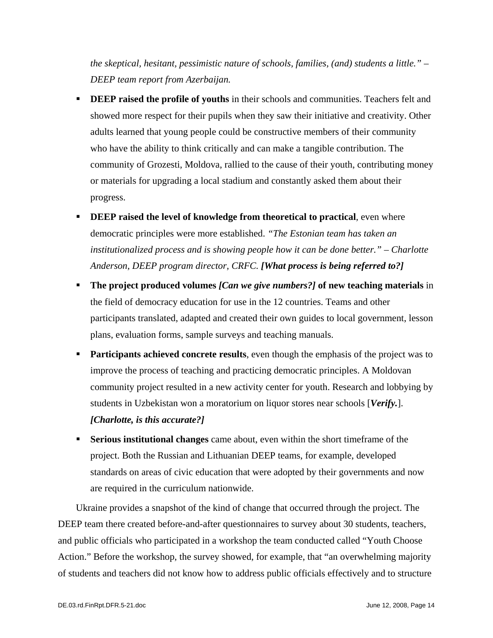*the skeptical, hesitant, pessimistic nature of schools, families, (and) students a little." – DEEP team report from Azerbaijan.* 

- **DEEP raised the profile of youths** in their schools and communities. Teachers felt and showed more respect for their pupils when they saw their initiative and creativity. Other adults learned that young people could be constructive members of their community who have the ability to think critically and can make a tangible contribution. The community of Grozesti, Moldova, rallied to the cause of their youth, contributing money or materials for upgrading a local stadium and constantly asked them about their progress.
- **DEEP raised the level of knowledge from theoretical to practical, even where** democratic principles were more established. *"The Estonian team has taken an institutionalized process and is showing people how it can be done better." – Charlotte Anderson, DEEP program director, CRFC. [What process is being referred to?]*
- **The project produced volumes** *[Can we give numbers?]* **of new teaching materials** in the field of democracy education for use in the 12 countries. Teams and other participants translated, adapted and created their own guides to local government, lesson plans, evaluation forms, sample surveys and teaching manuals.
- **Participants achieved concrete results**, even though the emphasis of the project was to improve the process of teaching and practicing democratic principles. A Moldovan community project resulted in a new activity center for youth. Research and lobbying by students in Uzbekistan won a moratorium on liquor stores near schools [*Verify.*]. *[Charlotte, is this accurate?]*
- **Serious institutional changes** came about, even within the short timeframe of the project. Both the Russian and Lithuanian DEEP teams, for example, developed standards on areas of civic education that were adopted by their governments and now are required in the curriculum nationwide.

Ukraine provides a snapshot of the kind of change that occurred through the project. The DEEP team there created before-and-after questionnaires to survey about 30 students, teachers, and public officials who participated in a workshop the team conducted called "Youth Choose Action." Before the workshop, the survey showed, for example, that "an overwhelming majority of students and teachers did not know how to address public officials effectively and to structure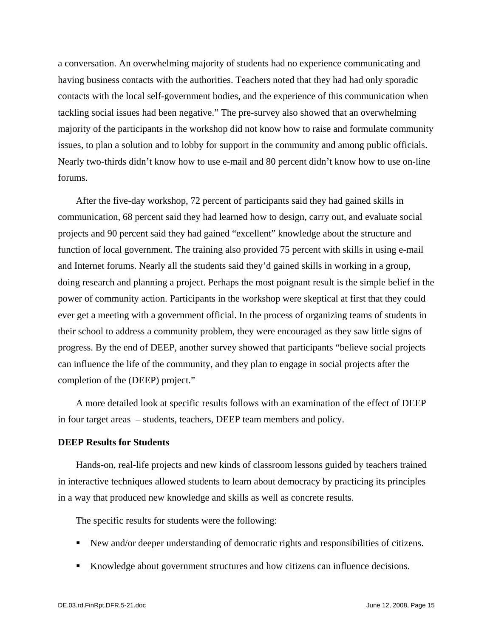a conversation. An overwhelming majority of students had no experience communicating and having business contacts with the authorities. Teachers noted that they had had only sporadic contacts with the local self-government bodies, and the experience of this communication when tackling social issues had been negative." The pre-survey also showed that an overwhelming majority of the participants in the workshop did not know how to raise and formulate community issues, to plan a solution and to lobby for support in the community and among public officials. Nearly two-thirds didn't know how to use e-mail and 80 percent didn't know how to use on-line forums.

After the five-day workshop, 72 percent of participants said they had gained skills in communication, 68 percent said they had learned how to design, carry out, and evaluate social projects and 90 percent said they had gained "excellent" knowledge about the structure and function of local government. The training also provided 75 percent with skills in using e-mail and Internet forums. Nearly all the students said they'd gained skills in working in a group, doing research and planning a project. Perhaps the most poignant result is the simple belief in the power of community action. Participants in the workshop were skeptical at first that they could ever get a meeting with a government official. In the process of organizing teams of students in their school to address a community problem, they were encouraged as they saw little signs of progress. By the end of DEEP, another survey showed that participants "believe social projects can influence the life of the community, and they plan to engage in social projects after the completion of the (DEEP) project."

A more detailed look at specific results follows with an examination of the effect of DEEP in four target areas – students, teachers, DEEP team members and policy.

#### **DEEP Results for Students**

Hands-on, real-life projects and new kinds of classroom lessons guided by teachers trained in interactive techniques allowed students to learn about democracy by practicing its principles in a way that produced new knowledge and skills as well as concrete results.

The specific results for students were the following:

- New and/or deeper understanding of democratic rights and responsibilities of citizens.
- Knowledge about government structures and how citizens can influence decisions.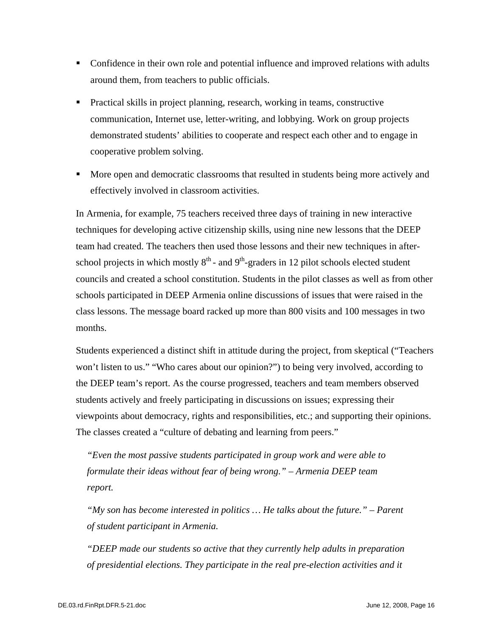- Confidence in their own role and potential influence and improved relations with adults around them, from teachers to public officials.
- Practical skills in project planning, research, working in teams, constructive communication, Internet use, letter-writing, and lobbying. Work on group projects demonstrated students' abilities to cooperate and respect each other and to engage in cooperative problem solving.
- **More open and democratic classrooms that resulted in students being more actively and** effectively involved in classroom activities.

In Armenia, for example, 75 teachers received three days of training in new interactive techniques for developing active citizenship skills, using nine new lessons that the DEEP team had created. The teachers then used those lessons and their new techniques in afterschool projects in which mostly  $8<sup>th</sup>$  - and  $9<sup>th</sup>$ -graders in 12 pilot schools elected student councils and created a school constitution. Students in the pilot classes as well as from other schools participated in DEEP Armenia online discussions of issues that were raised in the class lessons. The message board racked up more than 800 visits and 100 messages in two months.

Students experienced a distinct shift in attitude during the project, from skeptical ("Teachers won't listen to us." "Who cares about our opinion?") to being very involved, according to the DEEP team's report. As the course progressed, teachers and team members observed students actively and freely participating in discussions on issues; expressing their viewpoints about democracy, rights and responsibilities, etc.; and supporting their opinions. The classes created a "culture of debating and learning from peers."

*"Even the most passive students participated in group work and were able to formulate their ideas without fear of being wrong." – Armenia DEEP team report.* 

*"My son has become interested in politics … He talks about the future." – Parent of student participant in Armenia.* 

*"DEEP made our students so active that they currently help adults in preparation of presidential elections. They participate in the real pre-election activities and it*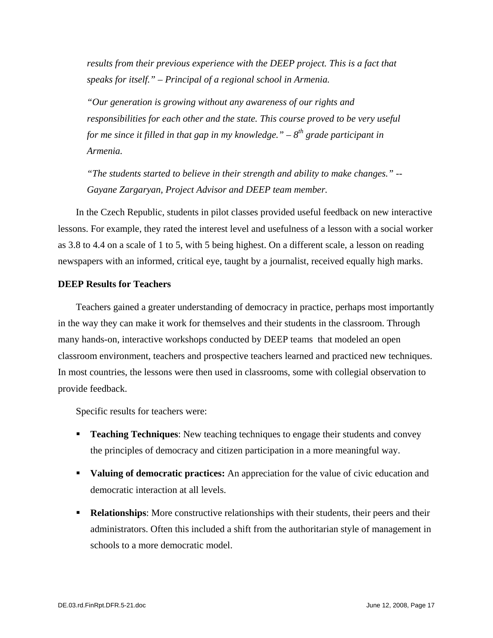*results from their previous experience with the DEEP project. This is a fact that speaks for itself." – Principal of a regional school in Armenia.* 

*"Our generation is growing without any awareness of our rights and responsibilities for each other and the state. This course proved to be very useful for me since it filled in that gap in my knowledge.*" –  $8^{th}$  grade participant in *Armenia.* 

*"The students started to believe in their strength and ability to make changes." -- Gayane Zargaryan, Project Advisor and DEEP team member.* 

In the Czech Republic, students in pilot classes provided useful feedback on new interactive lessons. For example, they rated the interest level and usefulness of a lesson with a social worker as 3.8 to 4.4 on a scale of 1 to 5, with 5 being highest. On a different scale, a lesson on reading newspapers with an informed, critical eye, taught by a journalist, received equally high marks.

#### **DEEP Results for Teachers**

Teachers gained a greater understanding of democracy in practice, perhaps most importantly in the way they can make it work for themselves and their students in the classroom. Through many hands-on, interactive workshops conducted by DEEP teams that modeled an open classroom environment, teachers and prospective teachers learned and practiced new techniques. In most countries, the lessons were then used in classrooms, some with collegial observation to provide feedback.

Specific results for teachers were:

- **Teaching Techniques**: New teaching techniques to engage their students and convey the principles of democracy and citizen participation in a more meaningful way.
- **Valuing of democratic practices:** An appreciation for the value of civic education and democratic interaction at all levels.
- **Relationships:** More constructive relationships with their students, their peers and their administrators. Often this included a shift from the authoritarian style of management in schools to a more democratic model.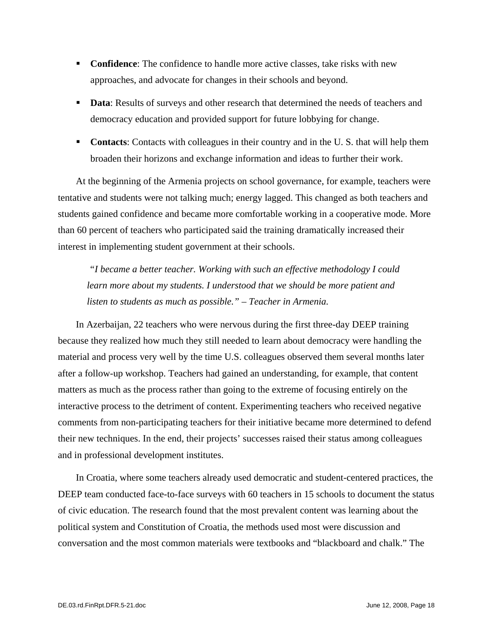- **Confidence:** The confidence to handle more active classes, take risks with new approaches, and advocate for changes in their schools and beyond.
- **Data:** Results of surveys and other research that determined the needs of teachers and democracy education and provided support for future lobbying for change.
- **Contacts:** Contacts with colleagues in their country and in the U.S. that will help them broaden their horizons and exchange information and ideas to further their work.

At the beginning of the Armenia projects on school governance, for example, teachers were tentative and students were not talking much; energy lagged. This changed as both teachers and students gained confidence and became more comfortable working in a cooperative mode. More than 60 percent of teachers who participated said the training dramatically increased their interest in implementing student government at their schools.

 *"I became a better teacher. Working with such an effective methodology I could learn more about my students. I understood that we should be more patient and listen to students as much as possible." – Teacher in Armenia.* 

In Azerbaijan, 22 teachers who were nervous during the first three-day DEEP training because they realized how much they still needed to learn about democracy were handling the material and process very well by the time U.S. colleagues observed them several months later after a follow-up workshop. Teachers had gained an understanding, for example, that content matters as much as the process rather than going to the extreme of focusing entirely on the interactive process to the detriment of content. Experimenting teachers who received negative comments from non-participating teachers for their initiative became more determined to defend their new techniques. In the end, their projects' successes raised their status among colleagues and in professional development institutes.

In Croatia, where some teachers already used democratic and student-centered practices, the DEEP team conducted face-to-face surveys with 60 teachers in 15 schools to document the status of civic education. The research found that the most prevalent content was learning about the political system and Constitution of Croatia, the methods used most were discussion and conversation and the most common materials were textbooks and "blackboard and chalk." The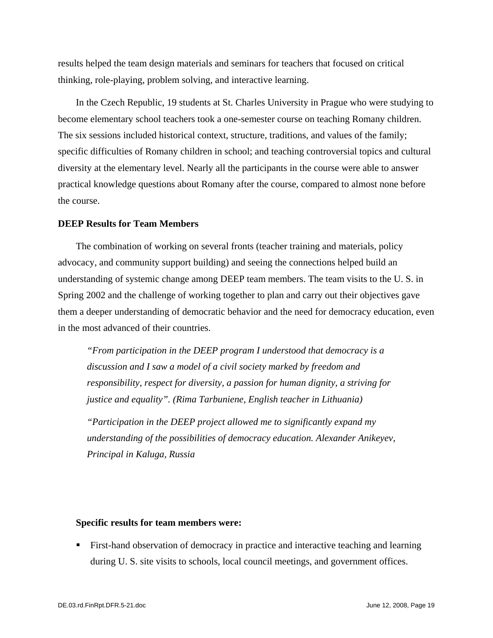results helped the team design materials and seminars for teachers that focused on critical thinking, role-playing, problem solving, and interactive learning.

In the Czech Republic, 19 students at St. Charles University in Prague who were studying to become elementary school teachers took a one-semester course on teaching Romany children. The six sessions included historical context, structure, traditions, and values of the family; specific difficulties of Romany children in school; and teaching controversial topics and cultural diversity at the elementary level. Nearly all the participants in the course were able to answer practical knowledge questions about Romany after the course, compared to almost none before the course.

#### **DEEP Results for Team Members**

The combination of working on several fronts (teacher training and materials, policy advocacy, and community support building) and seeing the connections helped build an understanding of systemic change among DEEP team members. The team visits to the U. S. in Spring 2002 and the challenge of working together to plan and carry out their objectives gave them a deeper understanding of democratic behavior and the need for democracy education, even in the most advanced of their countries.

*"From participation in the DEEP program I understood that democracy is a discussion and I saw a model of a civil society marked by freedom and responsibility, respect for diversity, a passion for human dignity, a striving for justice and equality". (Rima Tarbuniene, English teacher in Lithuania)* 

*"Participation in the DEEP project allowed me to significantly expand my understanding of the possibilities of democracy education. Alexander Anikeyev, Principal in Kaluga, Russia* 

#### **Specific results for team members were:**

 First-hand observation of democracy in practice and interactive teaching and learning during U. S. site visits to schools, local council meetings, and government offices.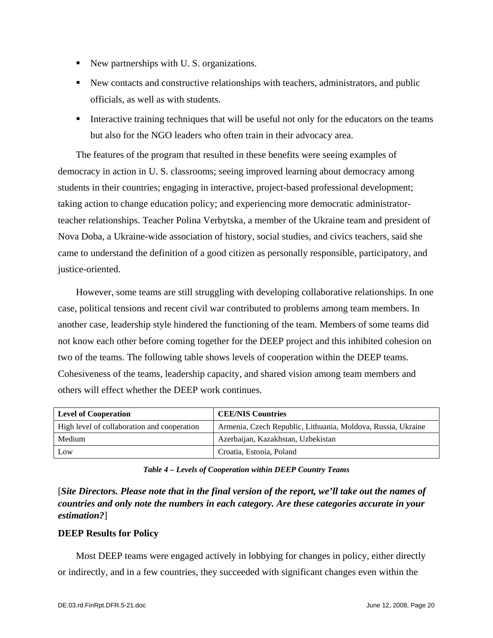- New partnerships with U.S. organizations.
- New contacts and constructive relationships with teachers, administrators, and public officials, as well as with students.
- Interactive training techniques that will be useful not only for the educators on the teams but also for the NGO leaders who often train in their advocacy area.

The features of the program that resulted in these benefits were seeing examples of democracy in action in U. S. classrooms; seeing improved learning about democracy among students in their countries; engaging in interactive, project-based professional development; taking action to change education policy; and experiencing more democratic administratorteacher relationships. Teacher Polina Verbytska, a member of the Ukraine team and president of Nova Doba, a Ukraine-wide association of history, social studies, and civics teachers, said she came to understand the definition of a good citizen as personally responsible, participatory, and justice-oriented.

However, some teams are still struggling with developing collaborative relationships. In one case, political tensions and recent civil war contributed to problems among team members. In another case, leadership style hindered the functioning of the team. Members of some teams did not know each other before coming together for the DEEP project and this inhibited cohesion on two of the teams. The following table shows levels of cooperation within the DEEP teams. Cohesiveness of the teams, leadership capacity, and shared vision among team members and others will effect whether the DEEP work continues.

| <b>Level of Cooperation</b>                 | <b>CEE/NIS Countries</b>                                     |
|---------------------------------------------|--------------------------------------------------------------|
| High level of collaboration and cooperation | Armenia, Czech Republic, Lithuania, Moldova, Russia, Ukraine |
| Medium                                      | Azerbaijan, Kazakhstan, Uzbekistan                           |
| Low                                         | Croatia, Estonia, Poland                                     |

*Table 4 – Levels of Cooperation within DEEP Country Teams* 

[*Site Directors. Please note that in the final version of the report, we'll take out the names of countries and only note the numbers in each category. Are these categories accurate in your estimation?*]

#### **DEEP Results for Policy**

Most DEEP teams were engaged actively in lobbying for changes in policy, either directly or indirectly, and in a few countries, they succeeded with significant changes even within the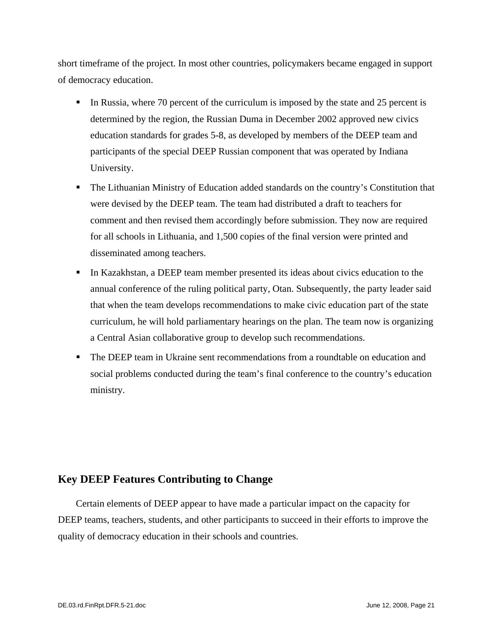short timeframe of the project. In most other countries, policymakers became engaged in support of democracy education.

- In Russia, where 70 percent of the curriculum is imposed by the state and 25 percent is determined by the region, the Russian Duma in December 2002 approved new civics education standards for grades 5-8, as developed by members of the DEEP team and participants of the special DEEP Russian component that was operated by Indiana University.
- The Lithuanian Ministry of Education added standards on the country's Constitution that were devised by the DEEP team. The team had distributed a draft to teachers for comment and then revised them accordingly before submission. They now are required for all schools in Lithuania, and 1,500 copies of the final version were printed and disseminated among teachers.
- In Kazakhstan, a DEEP team member presented its ideas about civics education to the annual conference of the ruling political party, Otan. Subsequently, the party leader said that when the team develops recommendations to make civic education part of the state curriculum, he will hold parliamentary hearings on the plan. The team now is organizing a Central Asian collaborative group to develop such recommendations.
- **The DEEP team in Ukraine sent recommendations from a roundtable on education and** social problems conducted during the team's final conference to the country's education ministry.

#### **Key DEEP Features Contributing to Change**

Certain elements of DEEP appear to have made a particular impact on the capacity for DEEP teams, teachers, students, and other participants to succeed in their efforts to improve the quality of democracy education in their schools and countries.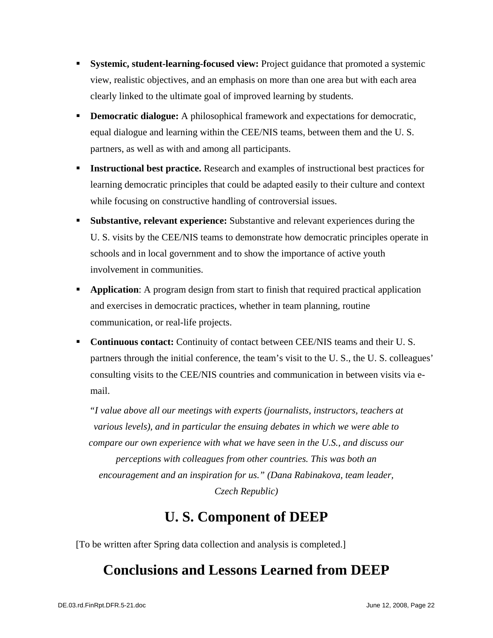- **Systemic, student-learning-focused view:** Project guidance that promoted a systemic view, realistic objectives, and an emphasis on more than one area but with each area clearly linked to the ultimate goal of improved learning by students.
- **Democratic dialogue:** A philosophical framework and expectations for democratic, equal dialogue and learning within the CEE/NIS teams, between them and the U. S. partners, as well as with and among all participants.
- **Instructional best practice.** Research and examples of instructional best practices for learning democratic principles that could be adapted easily to their culture and context while focusing on constructive handling of controversial issues.
- **Substantive, relevant experience:** Substantive and relevant experiences during the U. S. visits by the CEE/NIS teams to demonstrate how democratic principles operate in schools and in local government and to show the importance of active youth involvement in communities.
- **Application:** A program design from start to finish that required practical application and exercises in democratic practices, whether in team planning, routine communication, or real-life projects.
- **Continuous contact:** Continuity of contact between CEE/NIS teams and their U.S. partners through the initial conference, the team's visit to the U. S., the U. S. colleagues' consulting visits to the CEE/NIS countries and communication in between visits via email.

*"I value above all our meetings with experts (journalists, instructors, teachers at various levels), and in particular the ensuing debates in which we were able to compare our own experience with what we have seen in the U.S., and discuss our perceptions with colleagues from other countries. This was both an encouragement and an inspiration for us." (Dana Rabinakova, team leader, Czech Republic)* 

# **U. S. Component of DEEP**

[To be written after Spring data collection and analysis is completed.]

# **Conclusions and Lessons Learned from DEEP**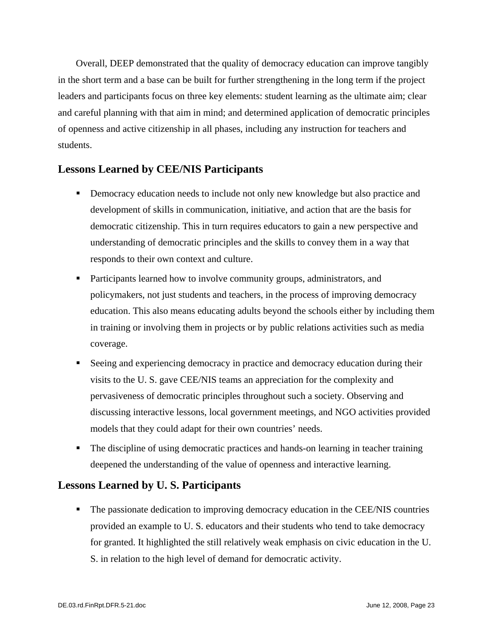Overall, DEEP demonstrated that the quality of democracy education can improve tangibly in the short term and a base can be built for further strengthening in the long term if the project leaders and participants focus on three key elements: student learning as the ultimate aim; clear and careful planning with that aim in mind; and determined application of democratic principles of openness and active citizenship in all phases, including any instruction for teachers and students.

#### **Lessons Learned by CEE/NIS Participants**

- Democracy education needs to include not only new knowledge but also practice and development of skills in communication, initiative, and action that are the basis for democratic citizenship. This in turn requires educators to gain a new perspective and understanding of democratic principles and the skills to convey them in a way that responds to their own context and culture.
- **Participants learned how to involve community groups, administrators, and** policymakers, not just students and teachers, in the process of improving democracy education. This also means educating adults beyond the schools either by including them in training or involving them in projects or by public relations activities such as media coverage.
- Seeing and experiencing democracy in practice and democracy education during their visits to the U. S. gave CEE/NIS teams an appreciation for the complexity and pervasiveness of democratic principles throughout such a society. Observing and discussing interactive lessons, local government meetings, and NGO activities provided models that they could adapt for their own countries' needs.
- The discipline of using democratic practices and hands-on learning in teacher training deepened the understanding of the value of openness and interactive learning.

#### **Lessons Learned by U. S. Participants**

 The passionate dedication to improving democracy education in the CEE/NIS countries provided an example to U. S. educators and their students who tend to take democracy for granted. It highlighted the still relatively weak emphasis on civic education in the U. S. in relation to the high level of demand for democratic activity.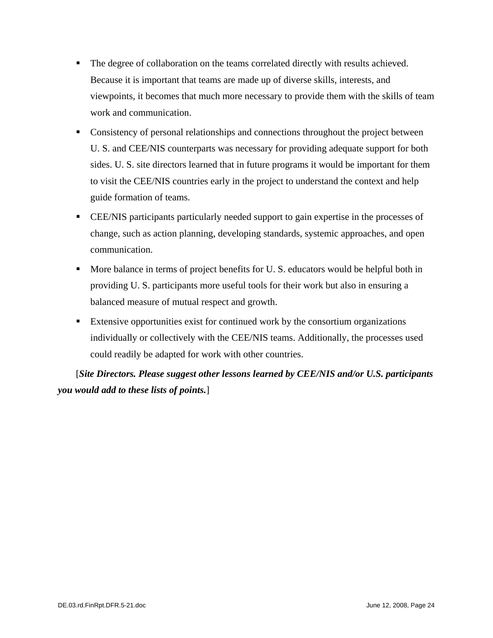- The degree of collaboration on the teams correlated directly with results achieved. Because it is important that teams are made up of diverse skills, interests, and viewpoints, it becomes that much more necessary to provide them with the skills of team work and communication.
- Consistency of personal relationships and connections throughout the project between U. S. and CEE/NIS counterparts was necessary for providing adequate support for both sides. U. S. site directors learned that in future programs it would be important for them to visit the CEE/NIS countries early in the project to understand the context and help guide formation of teams.
- CEE/NIS participants particularly needed support to gain expertise in the processes of change, such as action planning, developing standards, systemic approaches, and open communication.
- More balance in terms of project benefits for U.S. educators would be helpful both in providing U. S. participants more useful tools for their work but also in ensuring a balanced measure of mutual respect and growth.
- Extensive opportunities exist for continued work by the consortium organizations individually or collectively with the CEE/NIS teams. Additionally, the processes used could readily be adapted for work with other countries.

[*Site Directors. Please suggest other lessons learned by CEE/NIS and/or U.S. participants you would add to these lists of points.*]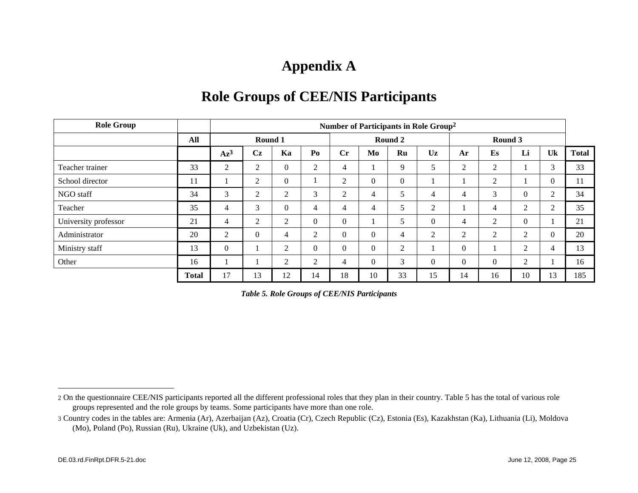# **Appendix A**

| <b>Role Group</b>    |              |                | Number of Participants in Role Group <sup>2</sup> |                  |                  |                |                  |                  |                |          |                |                |          |              |
|----------------------|--------------|----------------|---------------------------------------------------|------------------|------------------|----------------|------------------|------------------|----------------|----------|----------------|----------------|----------|--------------|
|                      | All          |                | Round 1                                           |                  |                  |                |                  | Round 2          |                |          | Round 3        |                |          |              |
|                      |              | $Az^3$         | Cz                                                | Ka               | Po               | Cr             | Mo               | Ru               | Uz             | Ar       | Es             | Li             | Uk       | <b>Total</b> |
| Teacher trainer      | 33           | $\overline{2}$ | $\overline{2}$                                    | $\overline{0}$   | 2                | 4              |                  | 9                | 5              | 2        | $\overline{2}$ |                | 3        | 33           |
| School director      | 11           |                | 2                                                 | $\boldsymbol{0}$ |                  | 2              | $\boldsymbol{0}$ | $\boldsymbol{0}$ |                |          | 2              |                | $\Omega$ | 11           |
| NGO staff            | 34           | 3              | $\overline{2}$                                    | 2                | 3                | $\overline{2}$ | 4                | 5                | $\overline{4}$ | 4        | 3              | $\Omega$       | 2        | 34           |
| Teacher              | 35           | 4              | 3                                                 | $\boldsymbol{0}$ | $\overline{4}$   | 4              | 4                | 5                | $\overline{2}$ |          | 4              | 2              | 2        | 35           |
| University professor | 21           | 4              | $\overline{2}$                                    | 2                | $\boldsymbol{0}$ | $\mathbf{0}$   |                  | 5                | $\theta$       | 4        | 2              | $\Omega$       |          | 21           |
| Administrator        | 20           | 2              | $\overline{0}$                                    | $\overline{4}$   | $\mathfrak{2}$   | $\mathbf{0}$   | $\mathbf{0}$     | $\overline{4}$   | $\overline{2}$ | 2        | 2              | 2              | $\Omega$ | 20           |
| Ministry staff       | 13           | $\Omega$       | -1                                                | $\overline{2}$   | $\boldsymbol{0}$ | $\mathbf{0}$   | $\mathbf{0}$     | $\overline{2}$   |                | $\theta$ |                | 2              | 4        | 13           |
| Other                | 16           |                | л                                                 | $\overline{2}$   | $\overline{2}$   | 4              | $\mathbf{0}$     | 3                | $\overline{0}$ | $\Omega$ | $\theta$       | $\mathfrak{2}$ |          | 16           |
|                      | <b>Total</b> | 17             | 13                                                | 12               | 14               | 18             | 10               | 33               | 15             | 14       | 16             | 10             | 13       | 185          |

### **Role Groups of CEE/NIS Participants**

*Table 5. Role Groups of CEE/NIS Participants* 

<sup>2</sup> On the questionnaire CEE/NIS participants reported all the different professional roles that they plan in their country. Table 5 has the total of various role groups represented and the role groups by teams. Some participants have more than one role.

<sup>3</sup> Country codes in the tables are: Armenia (Ar), Azerbaijan (Az), Croatia (Cr), Czech Republic (Cz), Estonia (Es), Kazakhstan (Ka), Lithuania (Li), Moldova (Mo), Poland (Po), Russian (Ru), Ukraine (Uk), and Uzbekistan (Uz).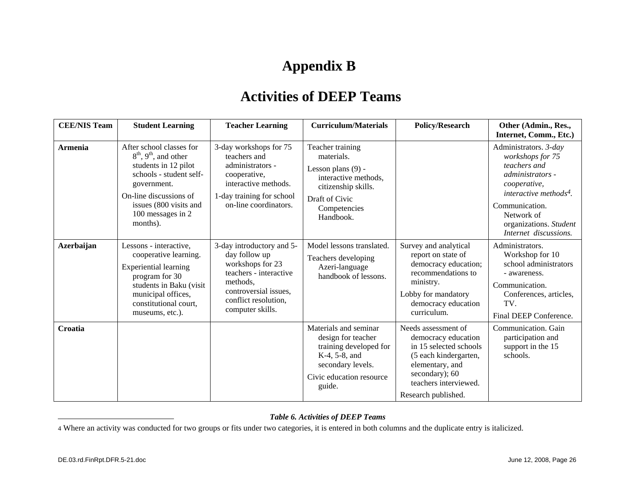# **Appendix B**

### **Activities of DEEP Teams**

| <b>CEE/NIS Team</b> | <b>Student Learning</b>                                                                                                                                                                                                | <b>Teacher Learning</b>                                                                                                                                                   | <b>Curriculum/Materials</b>                                                                                                                          | <b>Policy/Research</b>                                                                                                                                                             | Other (Admin., Res.,<br>Internet, Comm., Etc.)                                                                                                                                                                                |
|---------------------|------------------------------------------------------------------------------------------------------------------------------------------------------------------------------------------------------------------------|---------------------------------------------------------------------------------------------------------------------------------------------------------------------------|------------------------------------------------------------------------------------------------------------------------------------------------------|------------------------------------------------------------------------------------------------------------------------------------------------------------------------------------|-------------------------------------------------------------------------------------------------------------------------------------------------------------------------------------------------------------------------------|
| <b>Armenia</b>      | After school classes for<br>$8th$ , 9 <sup>th</sup> , and other<br>students in 12 pilot<br>schools - student self-<br>government.<br>On-line discussions of<br>issues (800 visits and<br>100 messages in 2<br>months). | 3-day workshops for 75<br>teachers and<br>administrators -<br>cooperative,<br>interactive methods.<br>1-day training for school<br>on-line coordinators.                  | Teacher training<br>materials.<br>Lesson plans $(9)$ -<br>interactive methods.<br>citizenship skills.<br>Draft of Civic<br>Competencies<br>Handbook. |                                                                                                                                                                                    | Administrators. 3-day<br>workshops for 75<br>teachers and<br><i>administrators</i> -<br>cooperative,<br>interactive methods <sup>4</sup> .<br>Communication.<br>Network of<br>organizations. Student<br>Internet discussions. |
| <b>Azerbaijan</b>   | Lessons - interactive,<br>cooperative learning.<br><b>Experiential learning</b><br>program for 30<br>students in Baku (visit<br>municipal offices,<br>constitutional court,<br>museums, etc.).                         | 3-day introductory and 5-<br>day follow up<br>workshops for 23<br>teachers - interactive<br>methods.<br>controversial issues,<br>conflict resolution,<br>computer skills. | Model lessons translated.<br>Teachers developing<br>Azeri-language<br>handbook of lessons.                                                           | Survey and analytical<br>report on state of<br>democracy education;<br>recommendations to<br>ministry.<br>Lobby for mandatory<br>democracy education<br>curriculum.                | Administrators.<br>Workshop for 10<br>school administrators<br>- awareness.<br>Communication.<br>Conferences, articles,<br>TV.<br>Final DEEP Conference.                                                                      |
| Croatia             |                                                                                                                                                                                                                        |                                                                                                                                                                           | Materials and seminar<br>design for teacher<br>training developed for<br>K-4, 5-8, and<br>secondary levels.<br>Civic education resource<br>guide.    | Needs assessment of<br>democracy education<br>in 15 selected schools<br>(5 each kindergarten,<br>elementary, and<br>secondary); 60<br>teachers interviewed.<br>Research published. | Communication. Gain<br>participation and<br>support in the 15<br>schools.                                                                                                                                                     |

#### *Table 6. Activities of DEEP Teams*

4 Where an activity was conducted for two groups or fits under two categories, it is entered in both columns and the duplicate entry is italicized.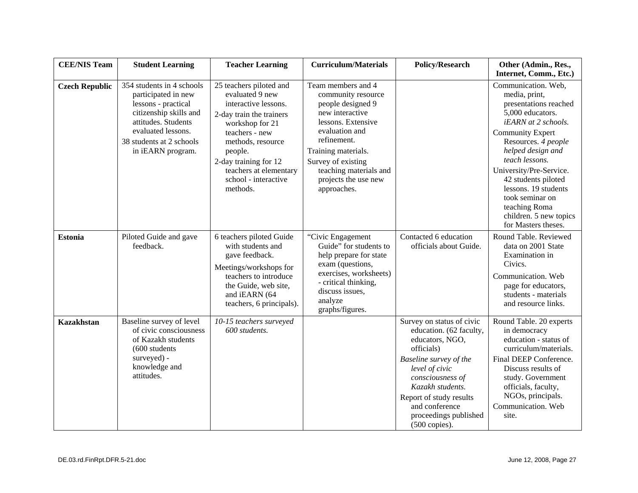| <b>CEE/NIS Team</b>   | <b>Student Learning</b>                                                                                                                                                                         | <b>Teacher Learning</b>                                                                                                                                                                                                                                    | <b>Curriculum/Materials</b>                                                                                                                                                                                                                           | <b>Policy/Research</b>                                                                                                                                                                                                                                                     | Other (Admin., Res.,<br>Internet, Comm., Etc.)                                                                                                                                                                                                                                                                                                                   |
|-----------------------|-------------------------------------------------------------------------------------------------------------------------------------------------------------------------------------------------|------------------------------------------------------------------------------------------------------------------------------------------------------------------------------------------------------------------------------------------------------------|-------------------------------------------------------------------------------------------------------------------------------------------------------------------------------------------------------------------------------------------------------|----------------------------------------------------------------------------------------------------------------------------------------------------------------------------------------------------------------------------------------------------------------------------|------------------------------------------------------------------------------------------------------------------------------------------------------------------------------------------------------------------------------------------------------------------------------------------------------------------------------------------------------------------|
| <b>Czech Republic</b> | 354 students in 4 schools<br>participated in new<br>lessons - practical<br>citizenship skills and<br>attitudes. Students<br>evaluated lessons.<br>38 students at 2 schools<br>in iEARN program. | 25 teachers piloted and<br>evaluated 9 new<br>interactive lessons.<br>2-day train the trainers<br>workshop for 21<br>teachers - new<br>methods, resource<br>people.<br>2-day training for 12<br>teachers at elementary<br>school - interactive<br>methods. | Team members and 4<br>community resource<br>people designed 9<br>new interactive<br>lessons. Extensive<br>evaluation and<br>refinement.<br>Training materials.<br>Survey of existing<br>teaching materials and<br>projects the use new<br>approaches. |                                                                                                                                                                                                                                                                            | Communication. Web,<br>media, print,<br>presentations reached<br>5,000 educators.<br>iEARN at 2 schools.<br><b>Community Expert</b><br>Resources. 4 people<br>helped design and<br>teach lessons.<br>University/Pre-Service.<br>42 students piloted<br>lessons. 19 students<br>took seminar on<br>teaching Roma<br>children. 5 new topics<br>for Masters theses. |
| <b>Estonia</b>        | Piloted Guide and gave<br>feedback.                                                                                                                                                             | 6 teachers piloted Guide<br>with students and<br>gave feedback.<br>Meetings/workshops for<br>teachers to introduce<br>the Guide, web site,<br>and iEARN (64<br>teachers, 6 principals).                                                                    | "Civic Engagement<br>Guide" for students to<br>help prepare for state<br>exam (questions,<br>exercises, worksheets)<br>- critical thinking,<br>discuss issues,<br>analyze<br>graphs/figures.                                                          | Contacted 6 education<br>officials about Guide.                                                                                                                                                                                                                            | Round Table. Reviewed<br>data on 2001 State<br>Examination in<br>Civics.<br>Communication. Web<br>page for educators,<br>students - materials<br>and resource links.                                                                                                                                                                                             |
| <b>Kazakhstan</b>     | Baseline survey of level<br>of civic consciousness<br>of Kazakh students<br>$(600$ students<br>surveyed) -<br>knowledge and<br>attitudes.                                                       | 10-15 teachers surveyed<br>600 students.                                                                                                                                                                                                                   |                                                                                                                                                                                                                                                       | Survey on status of civic<br>education. (62 faculty,<br>educators, NGO,<br>officials)<br>Baseline survey of the<br>level of civic<br>consciousness of<br>Kazakh students.<br>Report of study results<br>and conference<br>proceedings published<br>$(500 \text{ copies}).$ | Round Table. 20 experts<br>in democracy<br>education - status of<br>curriculum/materials.<br>Final DEEP Conference.<br>Discuss results of<br>study. Government<br>officials, faculty,<br>NGOs, principals.<br>Communication. Web<br>site.                                                                                                                        |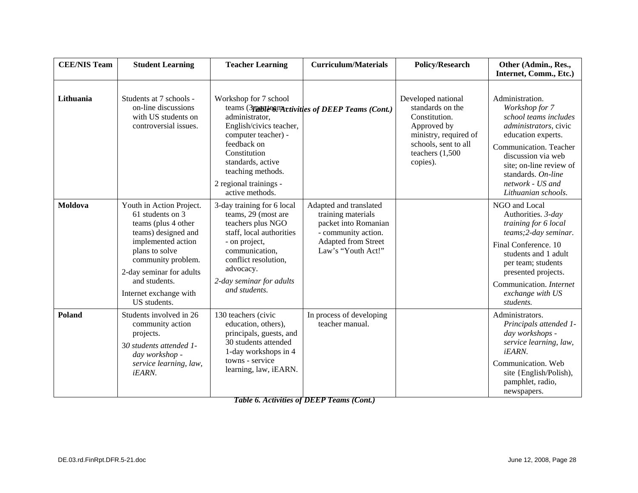| <b>CEE/NIS Team</b> | <b>Student Learning</b>                                                                                                                                                                                                                         | <b>Teacher Learning</b>                                                                                                                                                                                                                    | <b>Curriculum/Materials</b>                                                                                                              | <b>Policy/Research</b>                                                                                                                                    | Other (Admin., Res.,<br>Internet, Comm., Etc.)                                                                                                                                                                                                                       |
|---------------------|-------------------------------------------------------------------------------------------------------------------------------------------------------------------------------------------------------------------------------------------------|--------------------------------------------------------------------------------------------------------------------------------------------------------------------------------------------------------------------------------------------|------------------------------------------------------------------------------------------------------------------------------------------|-----------------------------------------------------------------------------------------------------------------------------------------------------------|----------------------------------------------------------------------------------------------------------------------------------------------------------------------------------------------------------------------------------------------------------------------|
| Lithuania           | Students at 7 schools -<br>on-line discussions<br>with US students on<br>controversial issues.                                                                                                                                                  | Workshop for 7 school<br>administrator,<br>English/civics teacher,<br>computer teacher) -<br>feedback on<br>Constitution<br>standards, active<br>teaching methods.<br>2 regional trainings -                                               | teams (3nattle-compartivities of DEEP Teams (Cont.)                                                                                      | Developed national<br>standards on the<br>Constitution.<br>Approved by<br>ministry, required of<br>schools, sent to all<br>teachers $(1,500)$<br>copies). | Administration.<br>Workshop for 7<br>school teams includes<br>administrators, civic<br>education experts.<br>Communication. Teacher<br>discussion via web<br>site; on-line review of<br>standards. On-line<br>network - US and                                       |
| <b>Moldova</b>      | Youth in Action Project.<br>61 students on 3<br>teams (plus 4 other<br>teams) designed and<br>implemented action<br>plans to solve<br>community problem.<br>2-day seminar for adults<br>and students.<br>Internet exchange with<br>US students. | active methods.<br>3-day training for 6 local<br>teams, 29 (most are<br>teachers plus NGO<br>staff, local authorities<br>- on project,<br>communication,<br>conflict resolution,<br>advocacy.<br>2-day seminar for adults<br>and students. | Adapted and translated<br>training materials<br>packet into Romanian<br>- community action.<br>Adapted from Street<br>Law's "Youth Act!" |                                                                                                                                                           | Lithuanian schools.<br>NGO and Local<br>Authorities. 3-day<br>training for 6 local<br>teams; 2-day seminar.<br>Final Conference. 10<br>students and 1 adult<br>per team; students<br>presented projects.<br>Communication. Internet<br>exchange with US<br>students. |
| Poland              | Students involved in 26<br>community action<br>projects.<br>30 students attended 1-<br>day workshop -<br>service learning, law,<br>iEARN.                                                                                                       | 130 teachers (civic<br>education, others),<br>principals, guests, and<br>30 students attended<br>1-day workshops in 4<br>towns - service<br>learning, law, iEARN.                                                                          | In process of developing<br>teacher manual.                                                                                              |                                                                                                                                                           | Administrators.<br>Principals attended 1-<br>day workshops -<br>service learning, law,<br><i>iEARN.</i><br>Communication. Web<br>site {English/Polish),<br>pamphlet, radio,<br>newspapers.                                                                           |

*Table 6. Activities of DEEP Teams (Cont.)*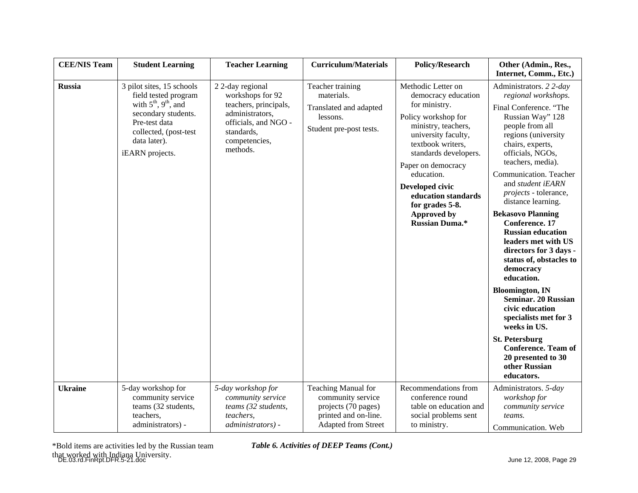| <b>CEE/NIS Team</b> | <b>Student Learning</b>                                                                                                                                                           | <b>Teacher Learning</b>                                                                                                                            | <b>Curriculum/Materials</b>                                                                                    | <b>Policy/Research</b>                                                                                                                                                                                                                                                                                                        | Other (Admin., Res.,<br>Internet, Comm., Etc.)                                                                                                                                                                                                                                                                                                                                                                                                                                                                                                                                                                                                                                                                                    |
|---------------------|-----------------------------------------------------------------------------------------------------------------------------------------------------------------------------------|----------------------------------------------------------------------------------------------------------------------------------------------------|----------------------------------------------------------------------------------------------------------------|-------------------------------------------------------------------------------------------------------------------------------------------------------------------------------------------------------------------------------------------------------------------------------------------------------------------------------|-----------------------------------------------------------------------------------------------------------------------------------------------------------------------------------------------------------------------------------------------------------------------------------------------------------------------------------------------------------------------------------------------------------------------------------------------------------------------------------------------------------------------------------------------------------------------------------------------------------------------------------------------------------------------------------------------------------------------------------|
| <b>Russia</b>       | 3 pilot sites, 15 schools<br>field tested program<br>with $5th$ , $9th$ , and<br>secondary students.<br>Pre-test data<br>collected, (post-test<br>data later).<br>iEARN projects. | 22-day regional<br>workshops for 92<br>teachers, principals,<br>administrators,<br>officials, and NGO -<br>standards,<br>competencies,<br>methods. | Teacher training<br>materials.<br>Translated and adapted<br>lessons.<br>Student pre-post tests.                | Methodic Letter on<br>democracy education<br>for ministry.<br>Policy workshop for<br>ministry, teachers,<br>university faculty,<br>textbook writers,<br>standards developers.<br>Paper on democracy<br>education.<br>Developed civic<br>education standards<br>for grades 5-8.<br><b>Approved by</b><br><b>Russian Duma.*</b> | Administrators. 2 2-day<br>regional workshops.<br>Final Conference. "The<br>Russian Way" 128<br>people from all<br>regions (university<br>chairs, experts,<br>officials, NGOs,<br>teachers, media).<br>Communication. Teacher<br>and student iEARN<br><i>projects</i> - tolerance,<br>distance learning.<br><b>Bekasovo Planning</b><br><b>Conference</b> . 17<br><b>Russian education</b><br>leaders met with US<br>directors for 3 days -<br>status of, obstacles to<br>democracy<br>education.<br><b>Bloomington, IN</b><br><b>Seminar. 20 Russian</b><br>civic education<br>specialists met for 3<br>weeks in US.<br><b>St. Petersburg</b><br><b>Conference. Team of</b><br>20 presented to 30<br>other Russian<br>educators. |
| <b>Ukraine</b>      | 5-day workshop for<br>community service<br>teams (32 students,<br>teachers,<br>administrators) -                                                                                  | 5-day workshop for<br>community service<br>teams (32 students,<br>teachers,<br>administrators) -                                                   | Teaching Manual for<br>community service<br>projects (70 pages)<br>printed and on-line.<br>Adapted from Street | Recommendations from<br>conference round<br>table on education and<br>social problems sent<br>to ministry.                                                                                                                                                                                                                    | Administrators. 5-day<br>workshop for<br>community service<br>teams.<br>Communication. Web                                                                                                                                                                                                                                                                                                                                                                                                                                                                                                                                                                                                                                        |

DE.03.rd.FinRpt.DFR.5-21.doc June 12, 2008, Page 29 \*Bold items are activities led by the Russian team *Table 6. Activities of DEEP Teams (Cont.)*  that worked with Indiana University.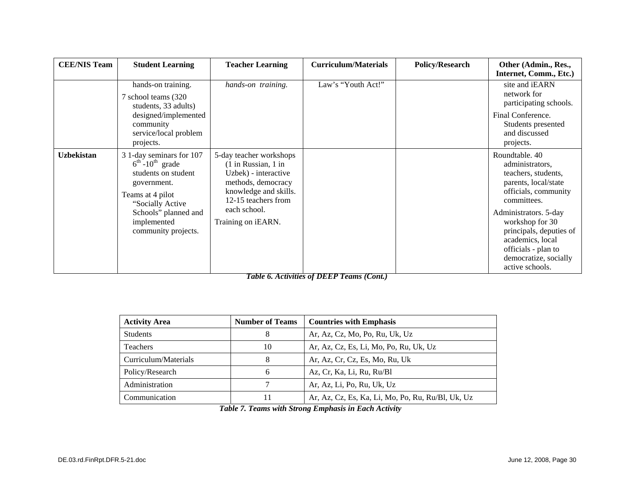| <b>CEE/NIS Team</b> | <b>Student Learning</b>                                                                                                                                                                                          | <b>Teacher Learning</b>                                                                                                                                                                        | <b>Curriculum/Materials</b> | <b>Policy/Research</b> | Other (Admin., Res.,<br>Internet, Comm., Etc.)                                                                                                                                                                                                                                        |
|---------------------|------------------------------------------------------------------------------------------------------------------------------------------------------------------------------------------------------------------|------------------------------------------------------------------------------------------------------------------------------------------------------------------------------------------------|-----------------------------|------------------------|---------------------------------------------------------------------------------------------------------------------------------------------------------------------------------------------------------------------------------------------------------------------------------------|
|                     | hands-on training.<br>7 school teams (320)<br>students, 33 adults)<br>designed/implemented<br>community<br>service/local problem<br>projects.                                                                    | hands-on training.                                                                                                                                                                             | Law's "Youth Act!"          |                        | site and iEARN<br>network for<br>participating schools.<br>Final Conference.<br>Students presented<br>and discussed<br>projects.                                                                                                                                                      |
| <b>Uzbekistan</b>   | 3 1-day seminars for 107<br>$6^{\text{th}}$ -10 <sup>th</sup> grade<br>students on student<br>government.<br>Teams at 4 pilot<br>"Socially Active"<br>Schools" planned and<br>implemented<br>community projects. | 5-day teacher workshops<br>$(1$ in Russian, $1$ in<br>Uzbek) - interactive<br>methods, democracy<br>knowledge and skills.<br>12-15 teachers from<br>each school.<br>Training on <i>iEARN</i> . |                             |                        | Roundtable, 40<br>administrators,<br>teachers, students,<br>parents, local/state<br>officials, community<br>committees.<br>Administrators. 5-day<br>workshop for 30<br>principals, deputies of<br>academics, local<br>officials - plan to<br>democratize, socially<br>active schools. |

*Table 6. Activities of DEEP Teams (Cont.)* 

| <b>Activity Area</b> | <b>Number of Teams</b> | <b>Countries with Emphasis</b>                    |
|----------------------|------------------------|---------------------------------------------------|
| <b>Students</b>      |                        | Ar, Az, Cz, Mo, Po, Ru, Uk, Uz                    |
| <b>Teachers</b>      | 10                     | Ar, Az, Cz, Es, Li, Mo, Po, Ru, Uk, Uz            |
| Curriculum/Materials |                        | Ar, Az, Cr, Cz, Es, Mo, Ru, Uk                    |
| Policy/Research      | 6                      | Az, Cr, Ka, Li, Ru, Ru/Bl                         |
| Administration       |                        | Ar, Az, Li, Po, Ru, Uk, Uz                        |
| Communication        |                        | Ar, Az, Cz, Es, Ka, Li, Mo, Po, Ru, Ru/Bl, Uk, Uz |

*Table 7. Teams with Strong Emphasis in Each Activity*